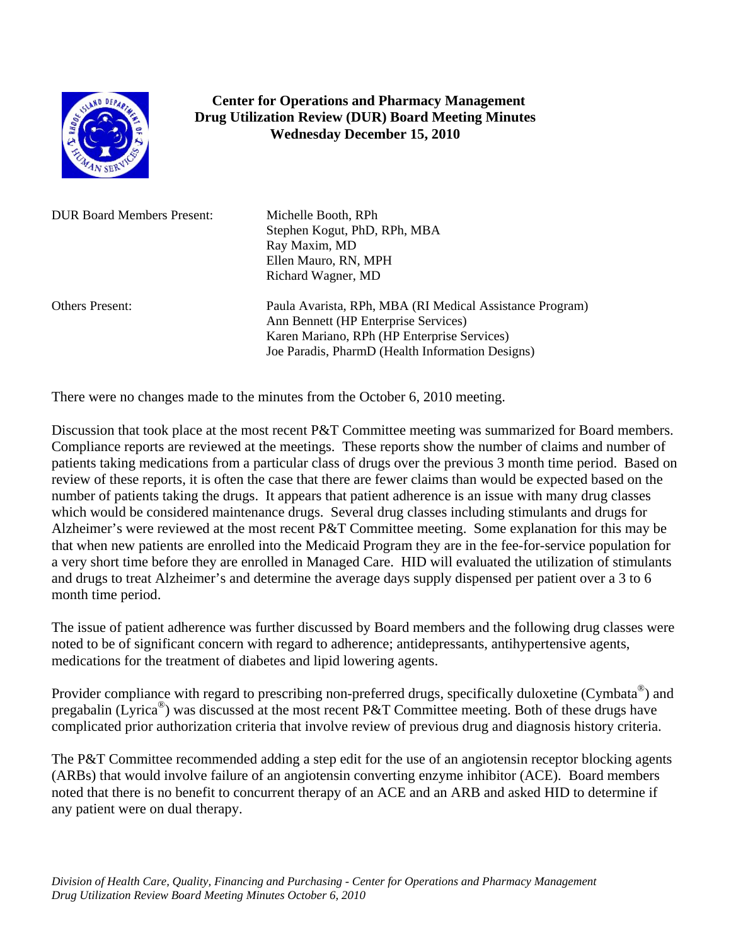

## **Center for Operations and Pharmacy Management Drug Utilization Review (DUR) Board Meeting Minutes Wednesday December 15, 2010**

DUR Board Members Present: Michelle Booth, RPh

Stephen Kogut, PhD, RPh, MBA Ray Maxim, MD Ellen Mauro, RN, MPH Richard Wagner, MD

Others Present: Paula Avarista, RPh, MBA (RI Medical Assistance Program) Ann Bennett (HP Enterprise Services) Karen Mariano, RPh (HP Enterprise Services) Joe Paradis, PharmD (Health Information Designs)

There were no changes made to the minutes from the October 6, 2010 meeting.

Discussion that took place at the most recent P&T Committee meeting was summarized for Board members. Compliance reports are reviewed at the meetings. These reports show the number of claims and number of patients taking medications from a particular class of drugs over the previous 3 month time period. Based on review of these reports, it is often the case that there are fewer claims than would be expected based on the number of patients taking the drugs. It appears that patient adherence is an issue with many drug classes which would be considered maintenance drugs. Several drug classes including stimulants and drugs for Alzheimer's were reviewed at the most recent P&T Committee meeting. Some explanation for this may be that when new patients are enrolled into the Medicaid Program they are in the fee-for-service population for a very short time before they are enrolled in Managed Care. HID will evaluated the utilization of stimulants and drugs to treat Alzheimer's and determine the average days supply dispensed per patient over a 3 to 6 month time period.

The issue of patient adherence was further discussed by Board members and the following drug classes were noted to be of significant concern with regard to adherence; antidepressants, antihypertensive agents, medications for the treatment of diabetes and lipid lowering agents.

Provider compliance with regard to prescribing non-preferred drugs, specifically duloxetine (Cymbata<sup>®</sup>) and pregabalin (Lyrica®) was discussed at the most recent P&T Committee meeting. Both of these drugs have complicated prior authorization criteria that involve review of previous drug and diagnosis history criteria.

The P&T Committee recommended adding a step edit for the use of an angiotensin receptor blocking agents (ARBs) that would involve failure of an angiotensin converting enzyme inhibitor (ACE). Board members noted that there is no benefit to concurrent therapy of an ACE and an ARB and asked HID to determine if any patient were on dual therapy.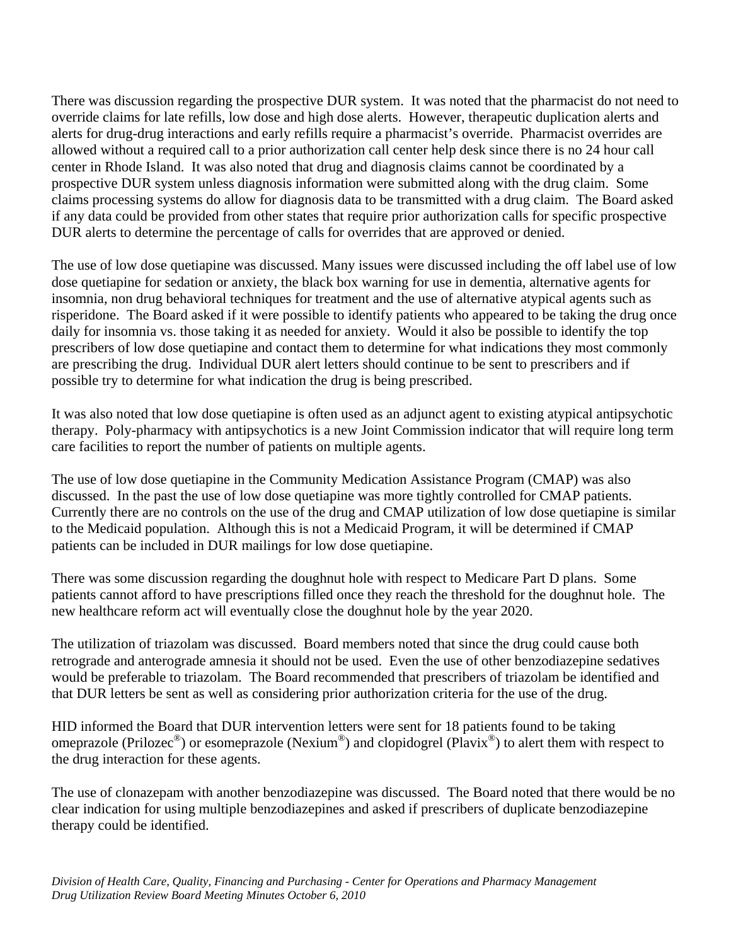There was discussion regarding the prospective DUR system. It was noted that the pharmacist do not need to override claims for late refills, low dose and high dose alerts. However, therapeutic duplication alerts and alerts for drug-drug interactions and early refills require a pharmacist's override. Pharmacist overrides are allowed without a required call to a prior authorization call center help desk since there is no 24 hour call center in Rhode Island. It was also noted that drug and diagnosis claims cannot be coordinated by a prospective DUR system unless diagnosis information were submitted along with the drug claim. Some claims processing systems do allow for diagnosis data to be transmitted with a drug claim. The Board asked if any data could be provided from other states that require prior authorization calls for specific prospective DUR alerts to determine the percentage of calls for overrides that are approved or denied.

The use of low dose quetiapine was discussed. Many issues were discussed including the off label use of low dose quetiapine for sedation or anxiety, the black box warning for use in dementia, alternative agents for insomnia, non drug behavioral techniques for treatment and the use of alternative atypical agents such as risperidone. The Board asked if it were possible to identify patients who appeared to be taking the drug once daily for insomnia vs. those taking it as needed for anxiety. Would it also be possible to identify the top prescribers of low dose quetiapine and contact them to determine for what indications they most commonly are prescribing the drug. Individual DUR alert letters should continue to be sent to prescribers and if possible try to determine for what indication the drug is being prescribed.

It was also noted that low dose quetiapine is often used as an adjunct agent to existing atypical antipsychotic therapy. Poly-pharmacy with antipsychotics is a new Joint Commission indicator that will require long term care facilities to report the number of patients on multiple agents.

The use of low dose quetiapine in the Community Medication Assistance Program (CMAP) was also discussed. In the past the use of low dose quetiapine was more tightly controlled for CMAP patients. Currently there are no controls on the use of the drug and CMAP utilization of low dose quetiapine is similar to the Medicaid population. Although this is not a Medicaid Program, it will be determined if CMAP patients can be included in DUR mailings for low dose quetiapine.

There was some discussion regarding the doughnut hole with respect to Medicare Part D plans. Some patients cannot afford to have prescriptions filled once they reach the threshold for the doughnut hole. The new healthcare reform act will eventually close the doughnut hole by the year 2020.

The utilization of triazolam was discussed. Board members noted that since the drug could cause both retrograde and anterograde amnesia it should not be used. Even the use of other benzodiazepine sedatives would be preferable to triazolam. The Board recommended that prescribers of triazolam be identified and that DUR letters be sent as well as considering prior authorization criteria for the use of the drug.

HID informed the Board that DUR intervention letters were sent for 18 patients found to be taking omeprazole (Prilozec<sup>®</sup>) or esomeprazole (Nexium<sup>®</sup>) and clopidogrel (Plavix<sup>®</sup>) to alert them with respect to the drug interaction for these agents.

The use of clonazepam with another benzodiazepine was discussed. The Board noted that there would be no clear indication for using multiple benzodiazepines and asked if prescribers of duplicate benzodiazepine therapy could be identified.